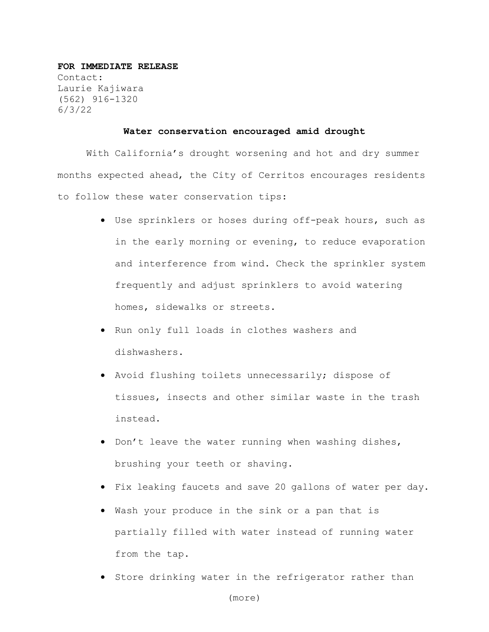## **FOR IMMEDIATE RELEASE**

Contact: Laurie Kajiwara (562) 916-1320 6/3/22

## **Water conservation encouraged amid drought**

With California's drought worsening and hot and dry summer months expected ahead, the City of Cerritos encourages residents to follow these water conservation tips:

- Use sprinklers or hoses during off-peak hours, such as in the early morning or evening, to reduce evaporation and interference from wind. Check the sprinkler system frequently and adjust sprinklers to avoid watering homes, sidewalks or streets.
- Run only full loads in clothes washers and dishwashers.
- Avoid flushing toilets unnecessarily; dispose of tissues, insects and other similar waste in the trash instead.
- Don't leave the water running when washing dishes, brushing your teeth or shaving.
- Fix leaking faucets and save 20 gallons of water per day.
- Wash your produce in the sink or a pan that is partially filled with water instead of running water from the tap.
- Store drinking water in the refrigerator rather than